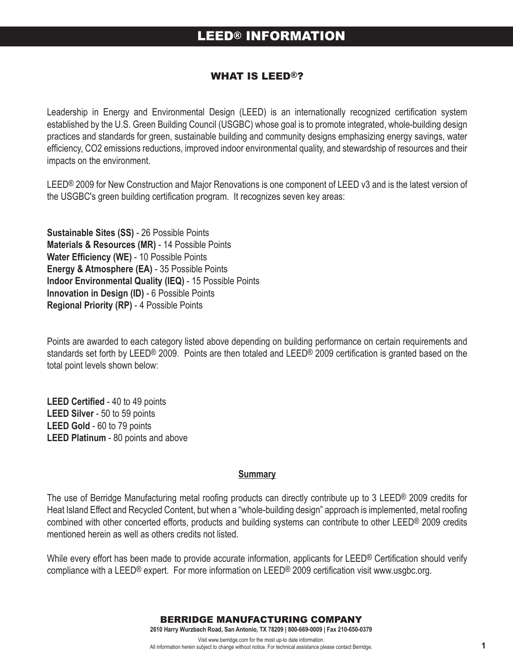#### WhAT Is LEED®?

Leadership in Energy and Environmental Design (LEED) is an internationally recognized certification system established by the U.S. Green Building Council (USGBC) whose goal is to promote integrated, whole-building design practices and standards for green, sustainable building and community designs emphasizing energy savings, water efficiency, CO2 emissions reductions, improved indoor environmental quality, and stewardship of resources and their impacts on the environment.

LEED® 2009 for New Construction and Major Renovations is one component of LEED v3 and is the latest version of the USGBC's green building certification program. It recognizes seven key areas:

**Sustainable Sites (SS)** - 26 Possible Points **Materials & Resources (MR)** - 14 Possible Points **Water Efficiency (WE)** - 10 Possible Points **Energy & Atmosphere (EA)** - 35 Possible Points **Indoor Environmental Quality (IEQ)** - 15 Possible Points **Innovation in Design (ID)** - 6 Possible Points **Regional Priority (RP)** - 4 Possible Points

Points are awarded to each category listed above depending on building performance on certain requirements and standards set forth by LEED® 2009. Points are then totaled and LEED® 2009 certification is granted based on the total point levels shown below:

**LEED Certified** - 40 to 49 points **LEED Silver** - 50 to 59 points **LEED Gold** - 60 to 79 points **LEED Platinum** - 80 points and above

#### **Summary**

The use of Berridge Manufacturing metal roofing products can directly contribute up to 3 LEED® 2009 credits for Heat Island Effect and Recycled Content, but when a "whole-building design" approach is implemented, metal roofing combined with other concerted efforts, products and building systems can contribute to other LEED® 2009 credits mentioned herein as well as others credits not listed.

While every effort has been made to provide accurate information, applicants for LEED® Certification should verify compliance with a LEED® expert. For more information on LEED® 2009 certification visit www.usgbc.org.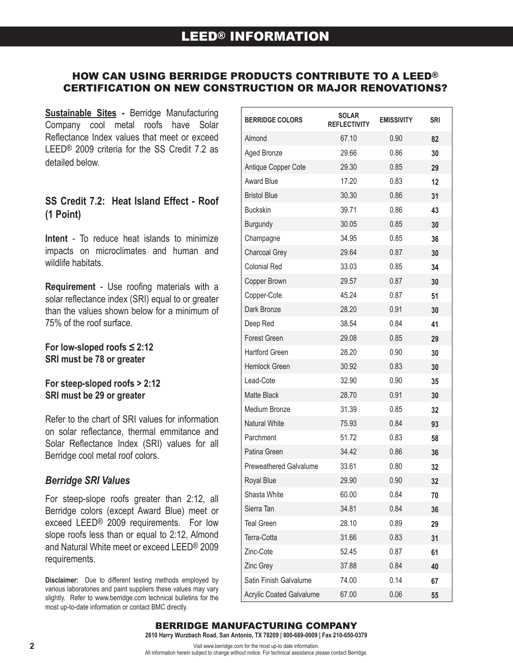## hOW CAN UsING BERRIDGE PRODUCTs CONTRIBUTE TO A LEED® CERTIFICATION ON NEW CONsTRUCTION OR MAjOR RENOvATIONs?

Ē

**Sustainable Sites -** Berridge Manufacturing Company cool metal roofs have Solar Reflectance Index values that meet or exceed LEED® 2009 criteria for the SS Credit 7.2 as detailed below.

## **SS Credit 7.2: Heat Island Effect - Roof (1 Point)**

**Intent** - To reduce heat islands to minimize impacts on microclimates and human and wildlife habitats.

**Requirement** - Use roofing materials with a solar reflectance index (SRI) equal to or greater than the values shown below for a minimum of 75% of the roof surface.

**For low-sloped roofs ≤ 2:12 SRI must be 78 or greater**

### **For steep-sloped roofs > 2:12 SRI must be 29 or greater**

Refer to the chart of SRI values for information on solar reflectance, thermal emmitance and Solar Reflectance Index (SRI) values for all Berridge cool metal roof colors.

## *Berridge SRI Values*

For steep-slope roofs greater than 2:12, all Berridge colors (except Award Blue) meet or exceed LEED® 2009 requirements. For low slope roofs less than or equal to 2:12, Almond and Natural White meet or exceed LEED® 2009 requirements.

**Disclaimer:** Due to different testing methods employed by various laboratories and paint suppliers these values may vary slightly. Refer to www.berridge.com technical bulletins for the most up-to-date information or contact BMC directly.

| <b>BERRIDGE COLORS</b>          | <b>SOLAR</b><br><b>REFLECTIVITY</b> | <b>EMISSIVITY</b> | SRI |
|---------------------------------|-------------------------------------|-------------------|-----|
| Almond                          | 67.10                               | 0.90              | 82  |
| Aged Bronze                     | 29.66                               | 0.86              | 30  |
| Antique Copper Cote             | 29.30                               | 0.85              | 29  |
| <b>Award Blue</b>               | 17.20                               | 0.83              | 12  |
| <b>Bristol Blue</b>             | 30.30                               | 0.86              | 31  |
| <b>Buckskin</b>                 | 39.71                               | 0.86              | 43  |
| Burgundy                        | 30.05                               | 0.85              | 30  |
| Champagne                       | 34.95                               | 0.85              | 36  |
| Charcoal Grey                   | 29.64                               | 0.87              | 30  |
| <b>Colonial Red</b>             | 33.03                               | 0.85              | 34  |
| Copper Brown                    | 29.57                               | 0.87              | 30  |
| Copper-Cote                     | 45.24                               | 0.87              | 51  |
| Dark Bronze                     | 28.20                               | 0.91              | 30  |
| Deep Red                        | 38.54                               | 0.84              | 41  |
| <b>Forest Green</b>             | 29.08                               | 0.85              | 29  |
| <b>Hartford Green</b>           | 28.20                               | 0.90              | 30  |
| <b>Hemlock Green</b>            | 30.92                               | 0.83              | 30  |
| Lead-Cote                       | 32.90                               | 0.90              | 35  |
| <b>Matte Black</b>              | 28.70                               | 0.91              | 30  |
| Medium Bronze                   | 31.39                               | 0.85              | 32  |
| <b>Natural White</b>            | 75.93                               | 0.84              | 93  |
| Parchment                       | 51.72                               | 0.83              | 58  |
| Patina Green                    | 34.42                               | 0.86              | 36  |
| <b>Preweathered Galvalume</b>   | 33.61                               | 0.80              | 32  |
| <b>Royal Blue</b>               | 29.90                               | 0.90              | 32  |
| Shasta White                    | 60.00                               | 0.84              | 70  |
| Sierra Tan                      | 34.81                               | 0.84              | 36  |
| <b>Teal Green</b>               | 28.10                               | 0.89              | 29  |
| Terra-Cotta                     | 31.66                               | 0.83              | 31  |
| Zinc-Cote                       | 52.45                               | 0.87              | 61  |
| Zinc Grey                       | 37.88                               | 0.84              | 40  |
| Satin Finish Galvalume          | 74.00                               | 0.14              | 67  |
| <b>Acrylic Coated Galvalume</b> | 67.00                               | 0.06              | 55  |

### BERRIDGE MANUFACTURING COMPANY

**2610 Harry Wurzbach Road, San Antonio, TX 78209 | 800-669-0009 | Fax 210-650-0379**

Visit www.berridge.com for the most up-to date information.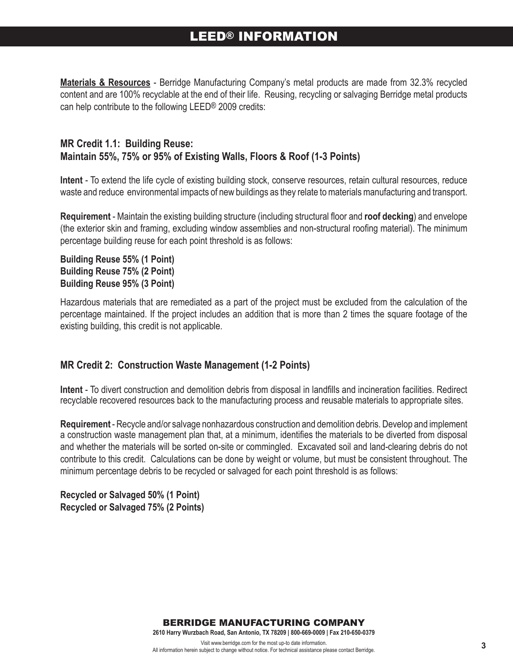**Materials & Resources** - Berridge Manufacturing Company's metal products are made from 32.3% recycled content and are 100% recyclable at the end of their life. Reusing, recycling or salvaging Berridge metal products can help contribute to the following LEED® 2009 credits:

## **MR Credit 1.1: Building Reuse: Maintain 55%, 75% or 95% of Existing Walls, Floors & Roof (1-3 Points)**

**Intent** - To extend the life cycle of existing building stock, conserve resources, retain cultural resources, reduce waste and reduce environmental impacts of new buildings as they relate to materials manufacturing and transport.

**Requirement** - Maintain the existing building structure (including structural floor and **roof decking**) and envelope (the exterior skin and framing, excluding window assemblies and non-structural roofing material). The minimum percentage building reuse for each point threshold is as follows:

**Building Reuse 55% (1 Point) Building Reuse 75% (2 Point) Building Reuse 95% (3 Point)**

Hazardous materials that are remediated as a part of the project must be excluded from the calculation of the percentage maintained. If the project includes an addition that is more than 2 times the square footage of the existing building, this credit is not applicable.

## **MR Credit 2: Construction Waste Management (1-2 Points)**

**Intent** - To divert construction and demolition debris from disposal in landfills and incineration facilities. Redirect recyclable recovered resources back to the manufacturing process and reusable materials to appropriate sites.

**Requirement** - Recycle and/or salvage nonhazardous construction and demolition debris. Develop and implement a construction waste management plan that, at a minimum, identifies the materials to be diverted from disposal and whether the materials will be sorted on-site or commingled. Excavated soil and land-clearing debris do not contribute to this credit. Calculations can be done by weight or volume, but must be consistent throughout. The minimum percentage debris to be recycled or salvaged for each point threshold is as follows:

**Recycled or Salvaged 50% (1 Point) Recycled or Salvaged 75% (2 Points)**

BERRIDGE MANUFACTURING COMPANY

**2610 Harry Wurzbach Road, San Antonio, TX 78209 | 800-669-0009 | Fax 210-650-0379**

Visit www.berridge.com for the most up-to date information. All information herein subject to change without notice. For technical assistance please contact Berridge.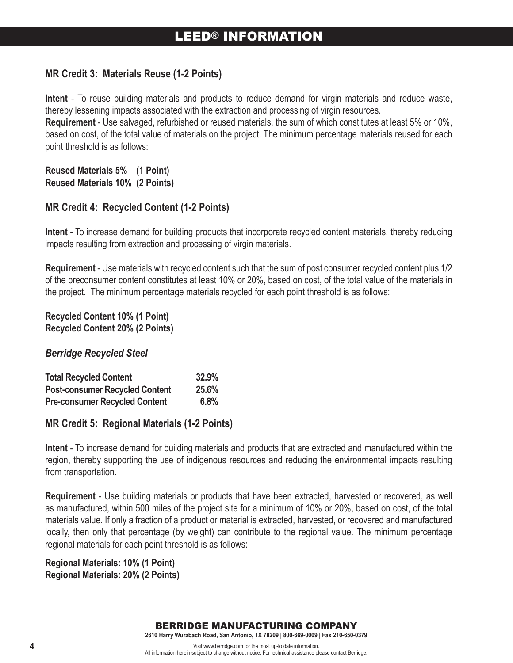## **MR Credit 3: Materials Reuse (1-2 Points)**

**Intent** - To reuse building materials and products to reduce demand for virgin materials and reduce waste, thereby lessening impacts associated with the extraction and processing of virgin resources.

**Requirement** - Use salvaged, refurbished or reused materials, the sum of which constitutes at least 5% or 10%, based on cost, of the total value of materials on the project. The minimum percentage materials reused for each point threshold is as follows:

**Reused Materials 5% (1 Point) Reused Materials 10% (2 Points)**

## **MR Credit 4: Recycled Content (1-2 Points)**

**Intent** - To increase demand for building products that incorporate recycled content materials, thereby reducing impacts resulting from extraction and processing of virgin materials.

**Requirement** - Use materials with recycled content such that the sum of post consumer recycled content plus 1/2 of the preconsumer content constitutes at least 10% or 20%, based on cost, of the total value of the materials in the project. The minimum percentage materials recycled for each point threshold is as follows:

#### **Recycled Content 10% (1 Point) Recycled Content 20% (2 Points)**

## *Berridge Recycled Steel*

| <b>Total Recycled Content</b>         | 32.9% |
|---------------------------------------|-------|
| <b>Post-consumer Recycled Content</b> | 25.6% |
| <b>Pre-consumer Recycled Content</b>  | 6.8%  |

## **MR Credit 5: Regional Materials (1-2 Points)**

**Intent** - To increase demand for building materials and products that are extracted and manufactured within the region, thereby supporting the use of indigenous resources and reducing the environmental impacts resulting from transportation.

**Requirement** - Use building materials or products that have been extracted, harvested or recovered, as well as manufactured, within 500 miles of the project site for a minimum of 10% or 20%, based on cost, of the total materials value. If only a fraction of a product or material is extracted, harvested, or recovered and manufactured locally, then only that percentage (by weight) can contribute to the regional value. The minimum percentage regional materials for each point threshold is as follows:

**Regional Materials: 10% (1 Point) Regional Materials: 20% (2 Points)**

All information herein subject to change without notice. For technical assistance please contact Berridge.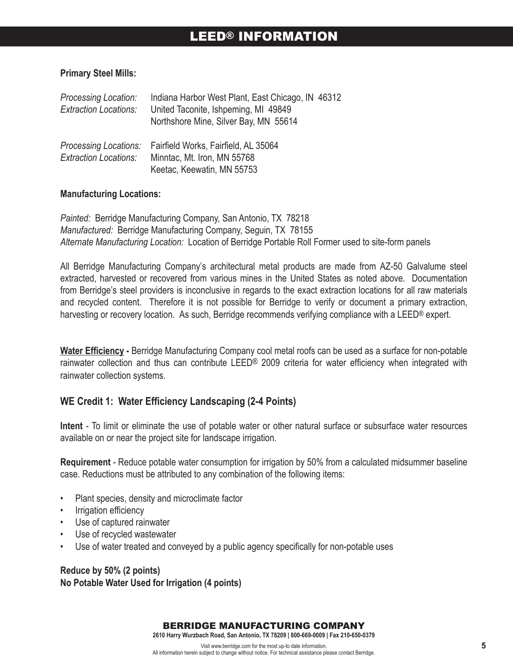#### **Primary Steel Mills:**

| Processing Location:<br><b>Extraction Locations:</b>  | Indiana Harbor West Plant, East Chicago, IN 46312<br>United Taconite, Ishpeming, MI 49849<br>Northshore Mine, Silver Bay, MN 55614 |
|-------------------------------------------------------|------------------------------------------------------------------------------------------------------------------------------------|
| Processing Locations:<br><b>Extraction Locations:</b> | Fairfield Works, Fairfield, AL 35064<br>Minntac, Mt. Iron, MN 55768<br>Keetac, Keewatin, MN 55753                                  |

#### **Manufacturing Locations:**

*Painted:* Berridge Manufacturing Company, San Antonio, TX 78218 *Manufactured:* Berridge Manufacturing Company, Seguin, TX 78155 *Alternate Manufacturing Location:* Location of Berridge Portable Roll Former used to site-form panels

All Berridge Manufacturing Company's architectural metal products are made from AZ-50 Galvalume steel extracted, harvested or recovered from various mines in the United States as noted above. Documentation from Berridge's steel providers is inconclusive in regards to the exact extraction locations for all raw materials and recycled content. Therefore it is not possible for Berridge to verify or document a primary extraction, harvesting or recovery location. As such, Berridge recommends verifying compliance with a LEED® expert.

**Water Efficiency -** Berridge Manufacturing Company cool metal roofs can be used as a surface for non-potable rainwater collection and thus can contribute LEED® 2009 criteria for water efficiency when integrated with rainwater collection systems.

### **WE Credit 1: Water Efficiency Landscaping (2-4 Points)**

**Intent** - To limit or eliminate the use of potable water or other natural surface or subsurface water resources available on or near the project site for landscape irrigation.

**Requirement** - Reduce potable water consumption for irrigation by 50% from a calculated midsummer baseline case. Reductions must be attributed to any combination of the following items:

- Plant species, density and microclimate factor
- Irrigation efficiency
- Use of captured rainwater
- Use of recycled wastewater
- Use of water treated and conveyed by a public agency specifically for non-potable uses

**Reduce by 50% (2 points) No Potable Water Used for Irrigation (4 points)**